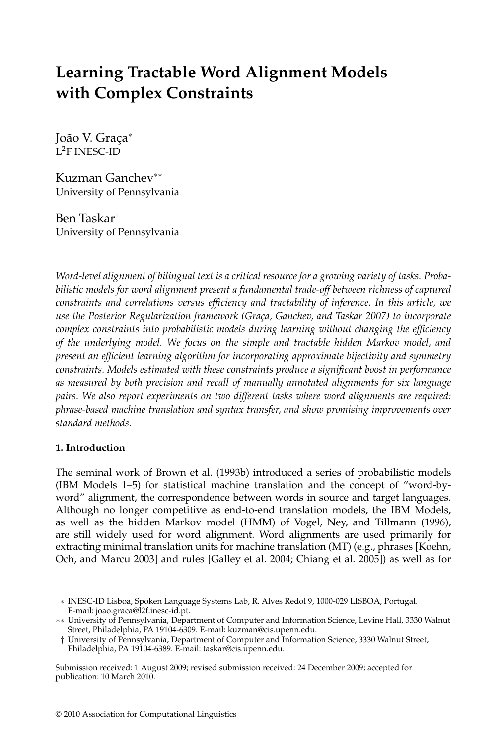# **Learning Tractable Word Alignment Models with Complex Constraints**

João V. Graça<sup>∗</sup> L2F INESC-ID

Kuzman Ganchev∗∗ University of Pennsylvania

Ben Taskar† University of Pennsylvania

*Word-level alignment of bilingual text is a critical resource for a growing variety of tasks. Probabilistic models for word alignment present a fundamental trade-off between richness of captured constraints and correlations versus efficiency and tractability of inference. In this article, we use the Posterior Regularization framework (Gra¸ca, Ganchev, and Taskar 2007) to incorporate complex constraints into probabilistic models during learning without changing the efficiency of the underlying model. We focus on the simple and tractable hidden Markov model, and present an efficient learning algorithm for incorporating approximate bijectivity and symmetry constraints. Models estimated with these constraints produce a significant boost in performance as measured by both precision and recall of manually annotated alignments for six language pairs. We also report experiments on two different tasks where word alignments are required: phrase-based machine translation and syntax transfer, and show promising improvements over standard methods.*

# **1. Introduction**

The seminal work of Brown et al. (1993b) introduced a series of probabilistic models (IBM Models 1–5) for statistical machine translation and the concept of "word-byword" alignment, the correspondence between words in source and target languages. Although no longer competitive as end-to-end translation models, the IBM Models, as well as the hidden Markov model (HMM) of Vogel, Ney, and Tillmann (1996), are still widely used for word alignment. Word alignments are used primarily for extracting minimal translation units for machine translation (MT) (e.g., phrases [Koehn, Och, and Marcu 2003] and rules [Galley et al. 2004; Chiang et al. 2005]) as well as for

<sup>∗</sup> INESC-ID Lisboa, Spoken Language Systems Lab, R. Alves Redol 9, 1000-029 LISBOA, Portugal. E-mail: joao.graca@l2f.inesc-id.pt.

<sup>∗∗</sup> University of Pennsylvania, Department of Computer and Information Science, Levine Hall, 3330 Walnut Street, Philadelphia, PA 19104-6309. E-mail: kuzman@cis.upenn.edu.

<sup>†</sup> University of Pennsylvania, Department of Computer and Information Science, 3330 Walnut Street, Philadelphia, PA 19104-6389. E-mail: taskar@cis.upenn.edu.

Submission received: 1 August 2009; revised submission received: 24 December 2009; accepted for publication: 10 March 2010.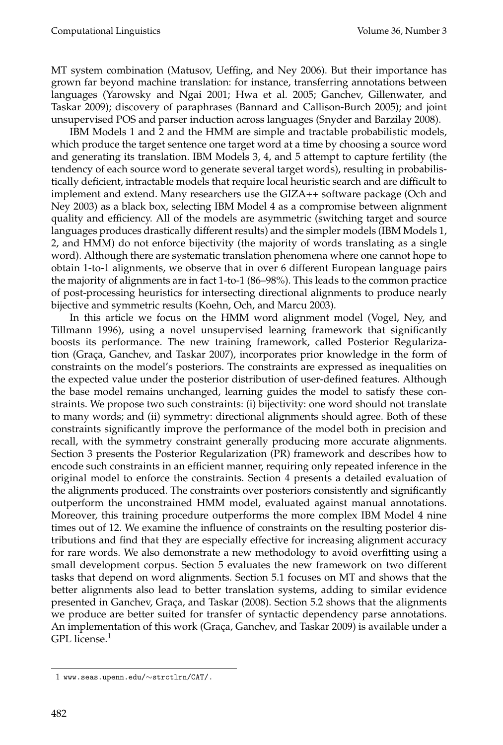MT system combination (Matusov, Ueffing, and Ney 2006). But their importance has grown far beyond machine translation: for instance, transferring annotations between languages (Yarowsky and Ngai 2001; Hwa et al. 2005; Ganchev, Gillenwater, and Taskar 2009); discovery of paraphrases (Bannard and Callison-Burch 2005); and joint unsupervised POS and parser induction across languages (Snyder and Barzilay 2008).

IBM Models 1 and 2 and the HMM are simple and tractable probabilistic models, which produce the target sentence one target word at a time by choosing a source word and generating its translation. IBM Models 3, 4, and 5 attempt to capture fertility (the tendency of each source word to generate several target words), resulting in probabilistically deficient, intractable models that require local heuristic search and are difficult to implement and extend. Many researchers use the GIZA++ software package (Och and Ney 2003) as a black box, selecting IBM Model 4 as a compromise between alignment quality and efficiency. All of the models are asymmetric (switching target and source languages produces drastically different results) and the simpler models (IBM Models 1, 2, and HMM) do not enforce bijectivity (the majority of words translating as a single word). Although there are systematic translation phenomena where one cannot hope to obtain 1-to-1 alignments, we observe that in over 6 different European language pairs the majority of alignments are in fact 1-to-1 (86–98%). This leads to the common practice of post-processing heuristics for intersecting directional alignments to produce nearly bijective and symmetric results (Koehn, Och, and Marcu 2003).

In this article we focus on the HMM word alignment model (Vogel, Ney, and Tillmann 1996), using a novel unsupervised learning framework that significantly boosts its performance. The new training framework, called Posterior Regularization (Graça, Ganchev, and Taskar 2007), incorporates prior knowledge in the form of constraints on the model's posteriors. The constraints are expressed as inequalities on the expected value under the posterior distribution of user-defined features. Although the base model remains unchanged, learning guides the model to satisfy these constraints. We propose two such constraints: (i) bijectivity: one word should not translate to many words; and (ii) symmetry: directional alignments should agree. Both of these constraints significantly improve the performance of the model both in precision and recall, with the symmetry constraint generally producing more accurate alignments. Section 3 presents the Posterior Regularization (PR) framework and describes how to encode such constraints in an efficient manner, requiring only repeated inference in the original model to enforce the constraints. Section 4 presents a detailed evaluation of the alignments produced. The constraints over posteriors consistently and significantly outperform the unconstrained HMM model, evaluated against manual annotations. Moreover, this training procedure outperforms the more complex IBM Model 4 nine times out of 12. We examine the influence of constraints on the resulting posterior distributions and find that they are especially effective for increasing alignment accuracy for rare words. We also demonstrate a new methodology to avoid overfitting using a small development corpus. Section 5 evaluates the new framework on two different tasks that depend on word alignments. Section 5.1 focuses on MT and shows that the better alignments also lead to better translation systems, adding to similar evidence presented in Ganchev, Graça, and Taskar (2008). Section 5.2 shows that the alignments we produce are better suited for transfer of syntactic dependency parse annotations. An implementation of this work (Graça, Ganchev, and Taskar 2009) is available under a GPL license. $1$ 

<sup>1</sup> www.seas.upenn.edu/∼strctlrn/CAT/.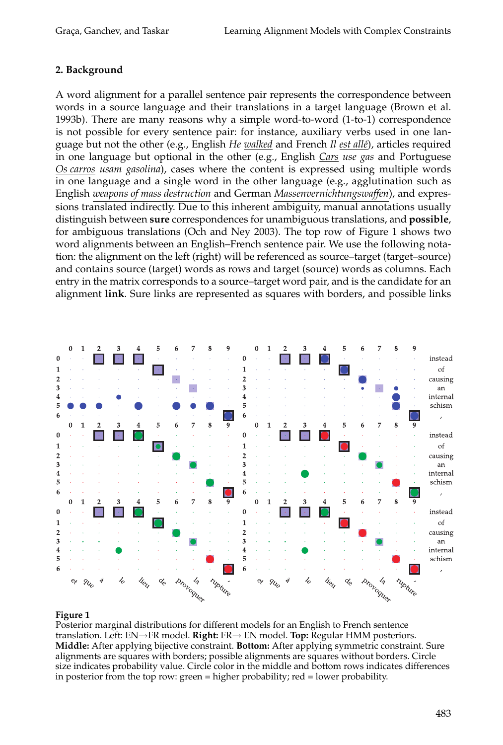# **2. Background**

A word alignment for a parallel sentence pair represents the correspondence between words in a source language and their translations in a target language (Brown et al. 1993b). There are many reasons why a simple word-to-word (1-to-1) correspondence is not possible for every sentence pair: for instance, auxiliary verbs used in one language but not the other (e.g., English *He walked* and French *Il est allé*), articles required in one language but optional in the other (e.g., English *Cars use gas* and Portuguese *Os carros usam gasolina*), cases where the content is expressed using multiple words in one language and a single word in the other language (e.g., agglutination such as English *weapons of mass destruction* and German *Massenvernichtungswaffen*), and expressions translated indirectly. Due to this inherent ambiguity, manual annotations usually distinguish between **sure** correspondences for unambiguous translations, and **possible**, for ambiguous translations (Och and Ney 2003). The top row of Figure 1 shows two word alignments between an English–French sentence pair. We use the following notation: the alignment on the left (right) will be referenced as source–target (target–source) and contains source (target) words as rows and target (source) words as columns. Each entry in the matrix corresponds to a source–target word pair, and is the candidate for an alignment **link**. Sure links are represented as squares with borders, and possible links



#### **Figure 1**

Posterior marginal distributions for different models for an English to French sentence translation. Left: EN→FR model. **Right:** FR→ EN model. **Top:** Regular HMM posteriors. **Middle:** After applying bijective constraint. **Bottom:** After applying symmetric constraint. Sure alignments are squares with borders; possible alignments are squares without borders. Circle size indicates probability value. Circle color in the middle and bottom rows indicates differences in posterior from the top row: green = higher probability; red = lower probability.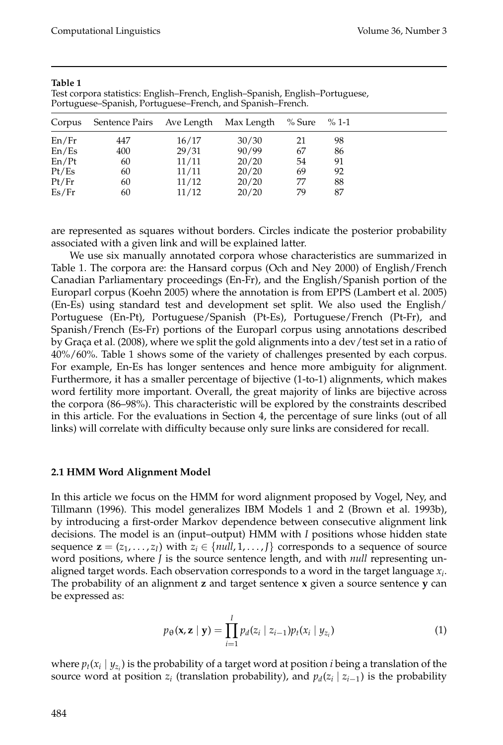| Corpus | Sentence Pairs | Ave Length Max Length |       | % Sure | $\%$ 1-1 |
|--------|----------------|-----------------------|-------|--------|----------|
| En/Fr  | 447            | 16/17                 | 30/30 | 21     | 98       |
| En/Es  | 400            | 29/31                 | 90/99 | 67     | 86       |
| En/Pt  | 60             | 11/11                 | 20/20 | 54     | 91       |
| Pt/Es  | 60             | 11/11                 | 20/20 | 69     | 92       |
| Pt/Fr  | 60             | 11/12                 | 20/20 | 77     | 88       |
| Es/Fr  | 60             | 11/12                 | 20/20 | 79     | 87       |

#### **Table 1**

Test corpora statistics: English–French, English–Spanish, English–Portuguese, Portuguese–Spanish, Portuguese–French, and Spanish–French.

are represented as squares without borders. Circles indicate the posterior probability associated with a given link and will be explained latter.

We use six manually annotated corpora whose characteristics are summarized in Table 1. The corpora are: the Hansard corpus (Och and Ney 2000) of English/French Canadian Parliamentary proceedings (En-Fr), and the English/Spanish portion of the Europarl corpus (Koehn 2005) where the annotation is from EPPS (Lambert et al. 2005) (En-Es) using standard test and development set split. We also used the English/ Portuguese (En-Pt), Portuguese/Spanish (Pt-Es), Portuguese/French (Pt-Fr), and Spanish/French (Es-Fr) portions of the Europarl corpus using annotations described by Graça et al. (2008), where we split the gold alignments into a dev/test set in a ratio of 40%/60%. Table 1 shows some of the variety of challenges presented by each corpus. For example, En-Es has longer sentences and hence more ambiguity for alignment. Furthermore, it has a smaller percentage of bijective (1-to-1) alignments, which makes word fertility more important. Overall, the great majority of links are bijective across the corpora (86–98%). This characteristic will be explored by the constraints described in this article. For the evaluations in Section 4, the percentage of sure links (out of all links) will correlate with difficulty because only sure links are considered for recall.

#### **2.1 HMM Word Alignment Model**

In this article we focus on the HMM for word alignment proposed by Vogel, Ney, and Tillmann (1996). This model generalizes IBM Models 1 and 2 (Brown et al. 1993b), by introducing a first-order Markov dependence between consecutive alignment link decisions. The model is an (input–output) HMM with *I* positions whose hidden state sequence  $\mathbf{z} = (z_1, \dots, z_I)$  with  $z_i \in \{null, 1, \dots, J\}$  corresponds to a sequence of source word positions, where *J* is the source sentence length, and with *null* representing unaligned target words. Each observation corresponds to a word in the target language *xi*. The probability of an alignment **z** and target sentence **x** given a source sentence **y** can be expressed as:

$$
p_{\theta}(\mathbf{x}, \mathbf{z} \mid \mathbf{y}) = \prod_{i=1}^{I} p_d(z_i \mid z_{i-1}) p_t(x_i \mid y_{z_i})
$$
\n(1)

where  $p_t(x_i \mid y_{z_i})$  is the probability of a target word at position *i* being a translation of the source word at position  $z_i$  (translation probability), and  $p_d(z_i \mid z_{i-1})$  is the probability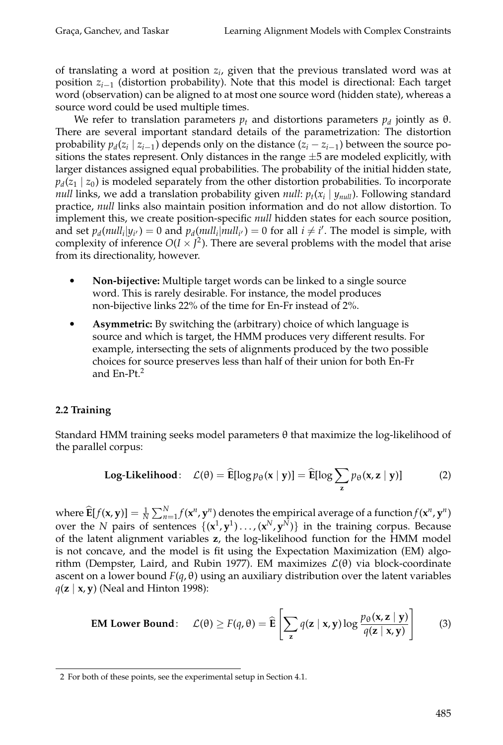of translating a word at position *zi*, given that the previous translated word was at position *zi*−<sup>1</sup> (distortion probability). Note that this model is directional: Each target word (observation) can be aligned to at most one source word (hidden state), whereas a source word could be used multiple times.

We refer to translation parameters  $p_t$  and distortions parameters  $p_d$  jointly as  $\theta$ . There are several important standard details of the parametrization: The distortion probability  $p_d(z_i | z_{i-1})$  depends only on the distance  $(z_i - z_{i-1})$  between the source positions the states represent. Only distances in the range  $\pm 5$  are modeled explicitly, with larger distances assigned equal probabilities. The probability of the initial hidden state,  $p_d(z_1 | z_0)$  is modeled separately from the other distortion probabilities. To incorporate *null* links, we add a translation probability given *null*:  $p_t(x_i | y_{null})$ . Following standard practice, *null* links also maintain position information and do not allow distortion. To implement this, we create position-specific *null* hidden states for each source position, and set  $p_d(\textit{null}_i|y_{i'}) = 0$  and  $p_d(\textit{null}_i|\textit{null}_{i'}) = 0$  for all  $i \neq i'$ . The model is simple, with complexity of inference  $O(I \times J^2)$ . There are several problems with the model that arise from its directionality, however.

- $\bullet$  **Non-bijective:** Multiple target words can be linked to a single source word. This is rarely desirable. For instance, the model produces non-bijective links 22% of the time for En-Fr instead of 2%.
- $\bullet$  **Asymmetric:** By switching the (arbitrary) choice of which language is source and which is target, the HMM produces very different results. For example, intersecting the sets of alignments produced by the two possible choices for source preserves less than half of their union for both En-Fr and En-Pt.<sup>2</sup>

# **2.2 Training**

Standard HMM training seeks model parameters θ that maximize the log-likelihood of the parallel corpus:

Log-Likelihood: 
$$
\mathcal{L}(\theta) = \widehat{\mathbf{E}}[\log p_{\theta}(\mathbf{x} \mid \mathbf{y})] = \widehat{\mathbf{E}}[\log \sum_{\mathbf{z}} p_{\theta}(\mathbf{x}, \mathbf{z} \mid \mathbf{y})]
$$
 (2)

where  $\widehat{\mathbf{E}}[f(\mathbf{x}, \mathbf{y})] = \frac{1}{N} \sum_{n=1}^{N} f(\mathbf{x}^n, \mathbf{y}^n)$  denotes the empirical average of a function  $f(\mathbf{x}^n, \mathbf{y}^n)$ over the *N* pairs of sentences  $\{(\mathbf{x}^1, \mathbf{y}^1) \dots, (\mathbf{x}^N, \mathbf{y}^N)\}\$ in the training corpus. Because of the latent alignment variables **z**, the log-likelihood function for the HMM model is not concave, and the model is fit using the Expectation Maximization (EM) algorithm (Dempster, Laird, and Rubin 1977). EM maximizes  $\mathcal{L}(\theta)$  via block-coordinate ascent on a lower bound  $F(q, \theta)$  using an auxiliary distribution over the latent variables *q*(**z** | **x**, **y**) (Neal and Hinton 1998):

**EM Lower Bound:** 
$$
\mathcal{L}(\theta) \ge F(q, \theta) = \widehat{\mathbf{E}} \left[ \sum_{\mathbf{z}} q(\mathbf{z} \mid \mathbf{x}, \mathbf{y}) \log \frac{p_{\theta}(\mathbf{x}, \mathbf{z} \mid \mathbf{y})}{q(\mathbf{z} \mid \mathbf{x}, \mathbf{y})} \right]
$$
 (3)

<sup>2</sup> For both of these points, see the experimental setup in Section 4.1.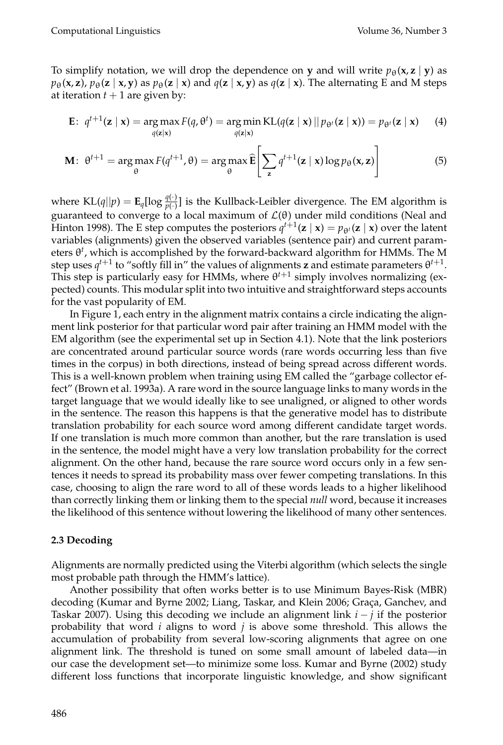To simplify notation, we will drop the dependence on **y** and will write  $p_{\theta}(\mathbf{x}, \mathbf{z} \mid \mathbf{y})$  as  $p_{\theta}(\mathbf{x}, \mathbf{z})$ ,  $p_{\theta}(\mathbf{z} \mid \mathbf{x}, \mathbf{y})$  as  $p_{\theta}(\mathbf{z} \mid \mathbf{x})$  and  $q(\mathbf{z} \mid \mathbf{x}, \mathbf{y})$  as  $q(\mathbf{z} \mid \mathbf{x})$ . The alternating E and M steps at iteration  $t + 1$  are given by:

$$
\mathbf{E}: \ q^{t+1}(\mathbf{z} \mid \mathbf{x}) = \argmax_{q(\mathbf{z} \mid \mathbf{x})} F(q, \theta^t) = \argmin_{q(\mathbf{z} \mid \mathbf{x})} \text{KL}(q(\mathbf{z} \mid \mathbf{x}) \mid p_{\theta^t}(\mathbf{z} \mid \mathbf{x})) = p_{\theta^t}(\mathbf{z} \mid \mathbf{x}) \qquad (4)
$$

$$
\mathbf{M}: \ \theta^{t+1} = \arg\max_{\theta} F(q^{t+1}, \theta) = \arg\max_{\theta} \widehat{\mathbf{E}} \left[ \sum_{\mathbf{z}} q^{t+1}(\mathbf{z} \mid \mathbf{x}) \log p_{\theta}(\mathbf{x}, \mathbf{z}) \right]
$$
(5)

where  $KL(q||p) = \mathbf{E}_q[\log \frac{q(\cdot)}{p(\cdot)}]$  is the Kullback-Leibler divergence. The EM algorithm is guaranteed to converge to a local maximum of  $\mathcal{L}(\theta)$  under mild conditions (Neal and Hinton 1998). The E step computes the posteriors  $q^{t+1}(\mathbf{z} \mid \mathbf{x}) = p_{\theta^t}(\mathbf{z} \mid \mathbf{x})$  over the latent variables (alignments) given the observed variables (sentence pair) and current parameters θ*<sup>t</sup>* , which is accomplished by the forward-backward algorithm for HMMs. The M step uses  $q^{t+1}$  to "softly fill in" the values of alignments **z** and estimate parameters  $\theta^{t+1}$ . This step is particularly easy for HMMs, where  $\theta^{t+1}$  simply involves normalizing (expected) counts. This modular split into two intuitive and straightforward steps accounts for the vast popularity of EM.

In Figure 1, each entry in the alignment matrix contains a circle indicating the alignment link posterior for that particular word pair after training an HMM model with the EM algorithm (see the experimental set up in Section 4.1). Note that the link posteriors are concentrated around particular source words (rare words occurring less than five times in the corpus) in both directions, instead of being spread across different words. This is a well-known problem when training using EM called the "garbage collector effect" (Brown et al. 1993a). A rare word in the source language links to many words in the target language that we would ideally like to see unaligned, or aligned to other words in the sentence. The reason this happens is that the generative model has to distribute translation probability for each source word among different candidate target words. If one translation is much more common than another, but the rare translation is used in the sentence, the model might have a very low translation probability for the correct alignment. On the other hand, because the rare source word occurs only in a few sentences it needs to spread its probability mass over fewer competing translations. In this case, choosing to align the rare word to all of these words leads to a higher likelihood than correctly linking them or linking them to the special *null* word, because it increases the likelihood of this sentence without lowering the likelihood of many other sentences.

#### **2.3 Decoding**

Alignments are normally predicted using the Viterbi algorithm (which selects the single most probable path through the HMM's lattice).

Another possibility that often works better is to use Minimum Bayes-Risk (MBR) decoding (Kumar and Byrne 2002; Liang, Taskar, and Klein 2006; Graça, Ganchev, and Taskar 2007). Using this decoding we include an alignment link *i* − *j* if the posterior probability that word *i* aligns to word *j* is above some threshold. This allows the accumulation of probability from several low-scoring alignments that agree on one alignment link. The threshold is tuned on some small amount of labeled data—in our case the development set—to minimize some loss. Kumar and Byrne (2002) study different loss functions that incorporate linguistic knowledge, and show significant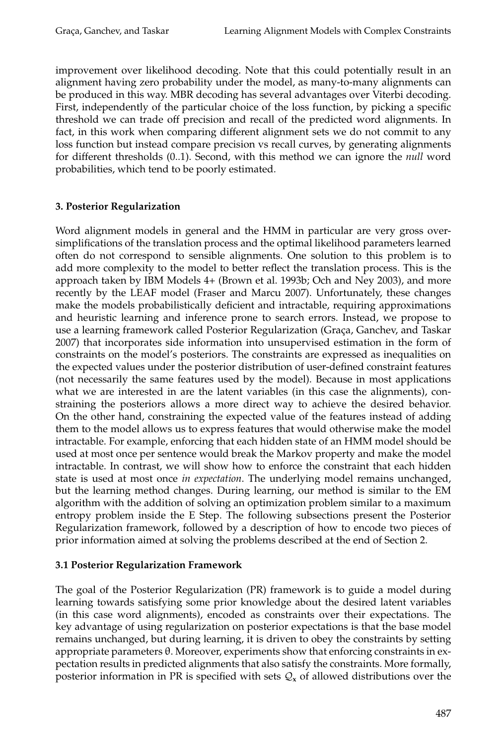improvement over likelihood decoding. Note that this could potentially result in an alignment having zero probability under the model, as many-to-many alignments can be produced in this way. MBR decoding has several advantages over Viterbi decoding. First, independently of the particular choice of the loss function, by picking a specific threshold we can trade off precision and recall of the predicted word alignments. In fact, in this work when comparing different alignment sets we do not commit to any loss function but instead compare precision vs recall curves, by generating alignments for different thresholds (0..1). Second, with this method we can ignore the *null* word probabilities, which tend to be poorly estimated.

# **3. Posterior Regularization**

Word alignment models in general and the HMM in particular are very gross oversimplifications of the translation process and the optimal likelihood parameters learned often do not correspond to sensible alignments. One solution to this problem is to add more complexity to the model to better reflect the translation process. This is the approach taken by IBM Models 4+ (Brown et al. 1993b; Och and Ney 2003), and more recently by the LEAF model (Fraser and Marcu 2007). Unfortunately, these changes make the models probabilistically deficient and intractable, requiring approximations and heuristic learning and inference prone to search errors. Instead, we propose to use a learning framework called Posterior Regularization (Graça, Ganchev, and Taskar 2007) that incorporates side information into unsupervised estimation in the form of constraints on the model's posteriors. The constraints are expressed as inequalities on the expected values under the posterior distribution of user-defined constraint features (not necessarily the same features used by the model). Because in most applications what we are interested in are the latent variables (in this case the alignments), constraining the posteriors allows a more direct way to achieve the desired behavior. On the other hand, constraining the expected value of the features instead of adding them to the model allows us to express features that would otherwise make the model intractable. For example, enforcing that each hidden state of an HMM model should be used at most once per sentence would break the Markov property and make the model intractable. In contrast, we will show how to enforce the constraint that each hidden state is used at most once *in expectation*. The underlying model remains unchanged, but the learning method changes. During learning, our method is similar to the EM algorithm with the addition of solving an optimization problem similar to a maximum entropy problem inside the E Step. The following subsections present the Posterior Regularization framework, followed by a description of how to encode two pieces of prior information aimed at solving the problems described at the end of Section 2.

# **3.1 Posterior Regularization Framework**

The goal of the Posterior Regularization (PR) framework is to guide a model during learning towards satisfying some prior knowledge about the desired latent variables (in this case word alignments), encoded as constraints over their expectations. The key advantage of using regularization on posterior expectations is that the base model remains unchanged, but during learning, it is driven to obey the constraints by setting appropriate parameters θ. Moreover, experiments show that enforcing constraints in expectation results in predicted alignments that also satisfy the constraints. More formally, posterior information in PR is specified with sets  $Q_x$  of allowed distributions over the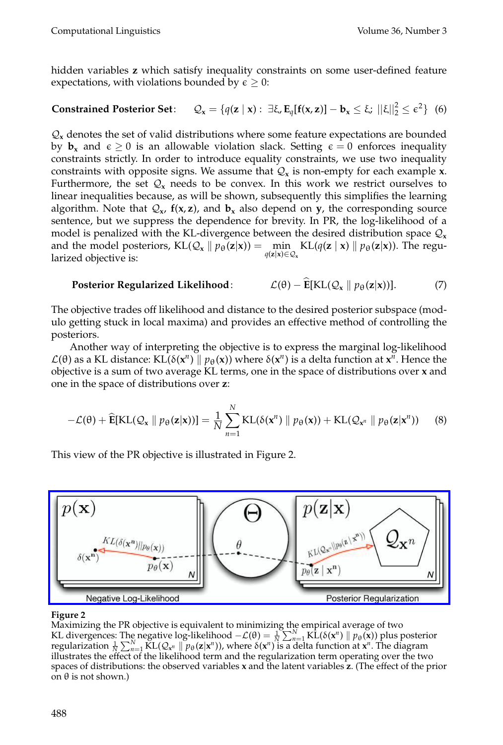Computational Linguistics Volume 36, Number 3

hidden variables **z** which satisfy inequality constraints on some user-defined feature expectations, with violations bounded by  $\epsilon \geq 0$ :

**Constrained Posterior Set:**  $Q_x = \{q(z \mid x) : \exists \xi, E_q[f(x, z)] - b_x \leq \xi; ||\xi||_2^2 \leq \varepsilon^2\}$  (6)

 $\mathcal{Q}_x$  denotes the set of valid distributions where some feature expectations are bounded by  $\mathbf{b}_x$  and  $\epsilon \geq 0$  is an allowable violation slack. Setting  $\epsilon = 0$  enforces inequality constraints strictly. In order to introduce equality constraints, we use two inequality constraints with opposite signs. We assume that  $Q_x$  is non-empty for each example **x**. Furthermore, the set  $\mathcal{Q}_x$  needs to be convex. In this work we restrict ourselves to linear inequalities because, as will be shown, subsequently this simplifies the learning algorithm. Note that  $Q_x$ ,  $f(x, z)$ , and  $b_x$  also depend on  $y$ , the corresponding source sentence, but we suppress the dependence for brevity. In PR, the log-likelihood of a model is penalized with the KL-divergence between the desired distribution space  $Q_x$ and the model posteriors,  $KL(Q_x \mid p_\theta(z|x)) = \min_{z \in \Theta} KL(q(z \mid x) \mid p_\theta(z|x))$ . The regu $q(\mathbf{z}|\mathbf{x}) \in \mathcal{Q}_\mathbf{x}$ larized objective is:

Posterior Regularized Likelihood: 
$$
\mathcal{L}(\theta) - \mathbf{E}[KL(Q_x \parallel p_{\theta}(\mathbf{z}|\mathbf{x}))].
$$
 (7)

The objective trades off likelihood and distance to the desired posterior subspace (modulo getting stuck in local maxima) and provides an effective method of controlling the posteriors.

Another way of interpreting the objective is to express the marginal log-likelihood  $\mathcal{L}(\theta)$  as a KL distance: KL(δ( $\mathbf{x}^n$ ) ||  $p_\theta(\mathbf{x})$ ) where δ( $\mathbf{x}^n$ ) is a delta function at  $\mathbf{x}^n$ . Hence the objective is a sum of two average KL terms, one in the space of distributions over **x** and one in the space of distributions over **z**:

$$
-\mathcal{L}(\theta) + \widehat{\mathbf{E}}[\mathrm{KL}(\mathcal{Q}_\mathbf{x} \parallel p_\theta(\mathbf{z}|\mathbf{x}))] = \frac{1}{N} \sum_{n=1}^N \mathrm{KL}(\delta(\mathbf{x}^n) \parallel p_\theta(\mathbf{x})) + \mathrm{KL}(\mathcal{Q}_{\mathbf{x}^n} \parallel p_\theta(\mathbf{z}|\mathbf{x}^n))
$$
(8)

[This view of the PR objective is illustrated in Figure 2.](http://www.mitpressjournals.org/action/showImage?doi=10.1162/coli_a_00007&iName=master.img-000.jpg&w=383&h=105)



#### **Figure 2**

Maximizing the PR objective is equivalent to minimizing the empirical average of two KL divergences: The negative log-likelihood  $-\mathcal{L}(\theta) = \frac{1}{N} \sum_{n=1}^{N} K_L(\delta(\mathbf{x}^n) \|\ p_{\theta}(\mathbf{x}))$  plus posterior regularization  $\frac{1}{N}\sum_{n=1}^{N} \text{KL}(Q_{x^n} \parallel p_\theta(\mathbf{z}|\mathbf{x}^n))$ , where  $\delta(\mathbf{x}^n)$  is a delta function at  $\mathbf{x}^n$ . The diagram illustrates the effect of the likelihood term and the regularization term operating over the two spaces of distributions: the observed variables **x** and the latent variables **z**. (The effect of the prior on θ is not shown.)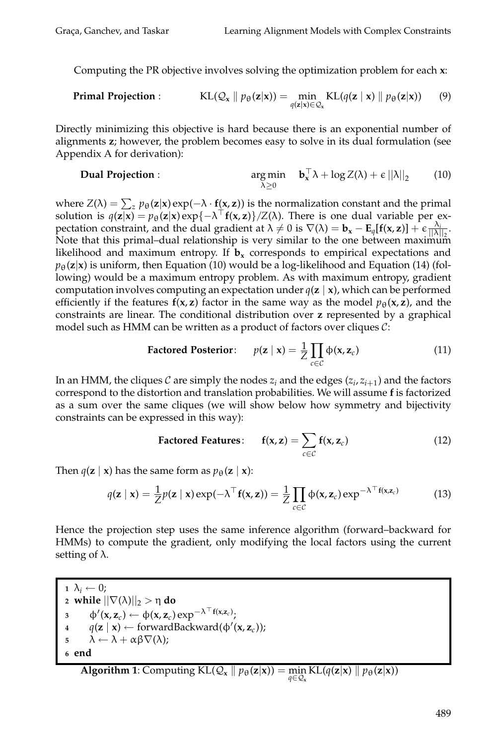Computing the PR objective involves solving the optimization problem for each **x**:

**Primal Projection :** 
$$
KL(Q_x \parallel p_{\theta}(\mathbf{z}|\mathbf{x})) = \min_{q(\mathbf{z}|\mathbf{x}) \in Q_x} KL(q(\mathbf{z} \mid \mathbf{x}) \parallel p_{\theta}(\mathbf{z}|\mathbf{x}))
$$
 (9)

Directly minimizing this objective is hard because there is an exponential number of alignments **z**; however, the problem becomes easy to solve in its dual formulation (see Appendix A for derivation):

**Dual Projection :** 
$$
\arg \min_{\lambda > 0} \quad \mathbf{b}_x^\top \lambda + \log Z(\lambda) + \epsilon ||\lambda||_2 \qquad (10)
$$

where  $Z(\lambda) = \sum_z p_{\theta}(\mathbf{z}|\mathbf{x}) \exp(-\lambda \cdot \mathbf{f}(\mathbf{x}, \mathbf{z}))$  is the normalization constant and the primal solution is  $q(\mathbf{z}|\mathbf{x}) = p_{\theta}(\mathbf{z}|\mathbf{x}) \exp\{-\lambda^{\top}f(\mathbf{x}, \mathbf{z})\}/Z(\lambda)$ . There is one dual variable per expectation constraint, and the dual gradient at  $\lambda \neq 0$  is  $\nabla(\lambda) = \mathbf{b}_x - \mathbf{E}_q[\mathbf{f}(\mathbf{x}, \mathbf{z})] + \epsilon \frac{\lambda_i}{\|\lambda\|_2}$ . Note that this primal–dual relationship is very similar to the one between maximum likelihood and maximum entropy. If  $\mathbf{b}_x$  corresponds to empirical expectations and  $p_{\theta}(\mathbf{z}|\mathbf{x})$  is uniform, then Equation (10) would be a log-likelihood and Equation (14) (following) would be a maximum entropy problem. As with maximum entropy, gradient computation involves computing an expectation under  $q(\mathbf{z} \mid \mathbf{x})$ , which can be performed efficiently if the features  $f(x, z)$  factor in the same way as the model  $p_\theta(x, z)$ , and the constraints are linear. The conditional distribution over **z** represented by a graphical model such as HMM can be written as a product of factors over cliques  $C$ :

$$
\text{Factored Posterior:} \quad p(\mathbf{z} \mid \mathbf{x}) = \frac{1}{Z} \prod_{c \in \mathcal{C}} \Phi(\mathbf{x}, \mathbf{z}_c) \tag{11}
$$

In an HMM, the cliques C are simply the nodes  $z_i$  and the edges  $(z_i, z_{i+1})$  and the factors correspond to the distortion and translation probabilities. We will assume **f** is factorized as a sum over the same cliques (we will show below how symmetry and bijectivity constraints can be expressed in this way):

Factored Features: 
$$
f(x, z) = \sum_{c \in C} f(x, z_c)
$$
 (12)

Then  $q(\mathbf{z} \mid \mathbf{x})$  has the same form as  $p_{\theta}(\mathbf{z} \mid \mathbf{x})$ :

$$
q(\mathbf{z} \mid \mathbf{x}) = \frac{1}{Z} p(\mathbf{z} \mid \mathbf{x}) \exp(-\lambda^{\top} \mathbf{f}(\mathbf{x}, \mathbf{z})) = \frac{1}{Z} \prod_{c \in C} \Phi(\mathbf{x}, \mathbf{z}_c) \exp^{-\lambda^{\top} \mathbf{f}(\mathbf{x}, \mathbf{z}_c)}
$$
(13)

Hence the projection step uses the same inference algorithm (forward–backward for HMMs) to compute the gradient, only modifying the local factors using the current setting of  $\lambda$ .

**1**  $\lambda_i \leftarrow 0$ ;  $\alpha$  while  $||\nabla(\lambda)||_2 > \eta$  do  $\Phi'(\mathbf{x}, \mathbf{z}_c) \leftarrow \Phi(\mathbf{x}, \mathbf{z}_c) \exp^{-\lambda^{-1} \mathbf{f}(\mathbf{x}, \mathbf{z}_c)};$  $q(\mathbf{z} \mid \mathbf{x}) \leftarrow \text{forwardBackward}(\phi'(\mathbf{x}, \mathbf{z}_c));$  $\begin{aligned} \mathbf{5} \qquad \lambda \leftarrow \lambda + \alpha \beta \nabla(\lambda); \end{aligned}$ **<sup>6</sup> end**

**Algorithm 1**: Computing  $KL(Q_x || p_{\theta}(z|x)) = \min_{z \in Q} KL(q(z|x) || p_{\theta}(z|x))$ *q*∈Q**<sup>x</sup>**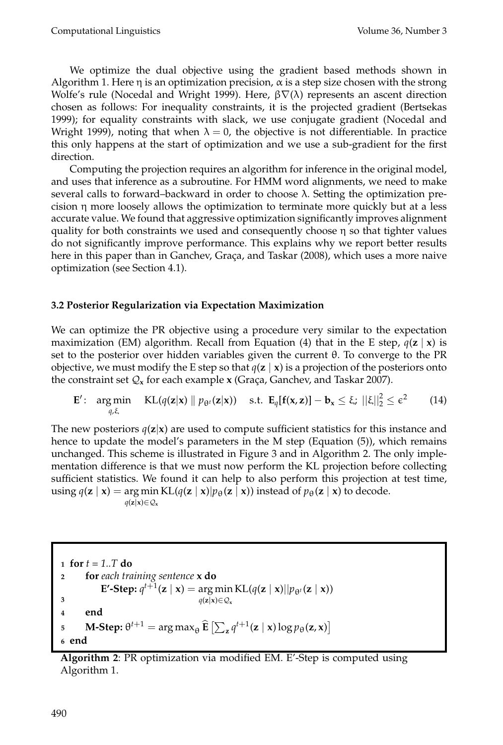We optimize the dual objective using the gradient based methods shown in Algorithm 1. Here  $\eta$  is an optimization precision,  $\alpha$  is a step size chosen with the strong Wolfe's rule (Nocedal and Wright 1999). Here,  $β∇(λ)$  represents an ascent direction chosen as follows: For inequality constraints, it is the projected gradient (Bertsekas 1999); for equality constraints with slack, we use conjugate gradient (Nocedal and Wright 1999), noting that when  $\lambda = 0$ , the objective is not differentiable. In practice this only happens at the start of optimization and we use a sub-gradient for the first direction.

Computing the projection requires an algorithm for inference in the original model, and uses that inference as a subroutine. For HMM word alignments, we need to make several calls to forward–backward in order to choose  $\lambda$ . Setting the optimization precision  $\eta$  more loosely allows the optimization to terminate more quickly but at a less accurate value. We found that aggressive optimization significantly improves alignment quality for both constraints we used and consequently choose  $\eta$  so that tighter values do not significantly improve performance. This explains why we report better results here in this paper than in Ganchev, Graça, and Taskar (2008), which uses a more naive optimization (see Section 4.1).

# **3.2 Posterior Regularization via Expectation Maximization**

We can optimize the PR objective using a procedure very similar to the expectation maximization (EM) algorithm. Recall from Equation (4) that in the E step,  $q(z | x)$  is set to the posterior over hidden variables given the current θ. To converge to the PR objective, we must modify the E step so that  $q(\mathbf{z} \mid \mathbf{x})$  is a projection of the posteriors onto the constraint set  $Q_x$  for each example  $x$  (Graça, Ganchev, and Taskar 2007).

$$
\mathbf{E}'\colon \argmin_{q,\xi} \quad \text{KL}(q(\mathbf{z}|\mathbf{x}) \parallel p_{\theta^t}(\mathbf{z}|\mathbf{x})) \quad \text{s.t. } \mathbf{E}_q[\mathbf{f}(\mathbf{x},\mathbf{z})] - \mathbf{b}_\mathbf{x} \leq \xi; \ ||\xi||_2^2 \leq \epsilon^2 \qquad (14)
$$

The new posteriors  $q(z|x)$  are used to compute sufficient statistics for this instance and hence to update the model's parameters in the M step (Equation (5)), which remains unchanged. This scheme is illustrated in Figure 3 and in Algorithm 2. The only implementation difference is that we must now perform the KL projection before collecting sufficient statistics. We found it can help to also perform this projection at test time,  $\text{using } q(\mathbf{z} \mid \mathbf{x}) = \arg \min \text{KL}(q(\mathbf{z} \mid \mathbf{x}) | p_{\theta}(\mathbf{z} \mid \mathbf{x})) \text{ instead of } p_{\theta}(\mathbf{z} \mid \mathbf{x}) \text{ to decode.}$ *q*(**z**|**x**)∈ $Q$ <sub>x</sub>

**<sup>1</sup> for** *t = 1..T* **do <sup>2</sup> for** *each training sentence* **x do E'-Step:**  $q^{t+1}(\mathbf{z} \mid \mathbf{x}) = \arg \min \mathrm{KL}(q(\mathbf{z} \mid \mathbf{x}) || p_{\theta^t}(\mathbf{z} \mid \mathbf{x}))$ *q*(**z**|**x**)∈ $Q$ <sub>**x**</sub> **3 <sup>4</sup> end M-Step:**  $\theta^{t+1} = \arg \max_{\theta} \widehat{\mathbf{E}} \left[ \sum_{\mathbf{z}} q^{t+1}(\mathbf{z} \mid \mathbf{x}) \log p_{\theta}(\mathbf{z}, \mathbf{x}) \right]$ **<sup>6</sup> end**

**Algorithm 2**: PR optimization via modified EM. E'-Step is computed using Algorithm 1.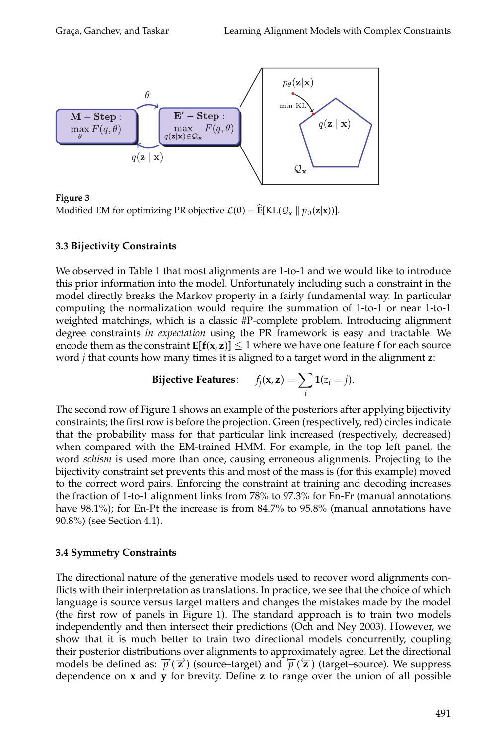

**Figure 3** Modified EM for optimizing PR objective  $\mathcal{L}(\theta) - \mathbf{E}[KL(\mathcal{Q}_{x} \mid p_{\theta}(\mathbf{z}|\mathbf{x}))].$ 

#### **3.3 Bijectivity Constraints**

We observed in Table 1 that most alignments are 1-to-1 and we would like to introduce this prior information into the model. Unfortunately including such a constraint in the model directly breaks the Markov property in a fairly fundamental way. In particular computing the normalization would require the summation of 1-to-1 or near 1-to-1 weighted matchings, which is a classic #P-complete problem. Introducing alignment degree constraints *in expectation* using the PR framework is easy and tractable. We encode them as the constraint  $E[f(x, z)] \leq 1$  where we have one feature f for each source word *j* that counts how many times it is aligned to a target word in the alignment **z**:

$$
\textbf{Bijective Features:} \quad f_j(\mathbf{x}, \mathbf{z}) = \sum_i \mathbf{1}(z_i = j).
$$

The second row of Figure 1 shows an example of the posteriors after applying bijectivity constraints; the first row is before the projection. Green (respectively, red) circles indicate that the probability mass for that particular link increased (respectively, decreased) when compared with the EM-trained HMM. For example, in the top left panel, the word *schism* is used more than once, causing erroneous alignments. Projecting to the bijectivity constraint set prevents this and most of the mass is (for this example) moved to the correct word pairs. Enforcing the constraint at training and decoding increases the fraction of 1-to-1 alignment links from 78% to 97.3% for En-Fr (manual annotations have 98.1%); for En-Pt the increase is from 84.7% to 95.8% (manual annotations have 90.8%) (see Section 4.1).

# **3.4 Symmetry Constraints**

The directional nature of the generative models used to recover word alignments conflicts with their interpretation as translations. In practice, we see that the choice of which language is source versus target matters and changes the mistakes made by the model (the first row of panels in Figure 1). The standard approach is to train two models independently and then intersect their predictions (Och and Ney 2003). However, we show that it is much better to train two directional models concurrently, coupling their posterior distributions over alignments to approximately agree. Let the directional models be defined as:  $\vec{p}(\vec{z})$  (source–target) and  $\vec{p}(\vec{z})$  (target–source). We suppress dependence on **x** and **y** for brevity. Define **z** to range over the union of all possible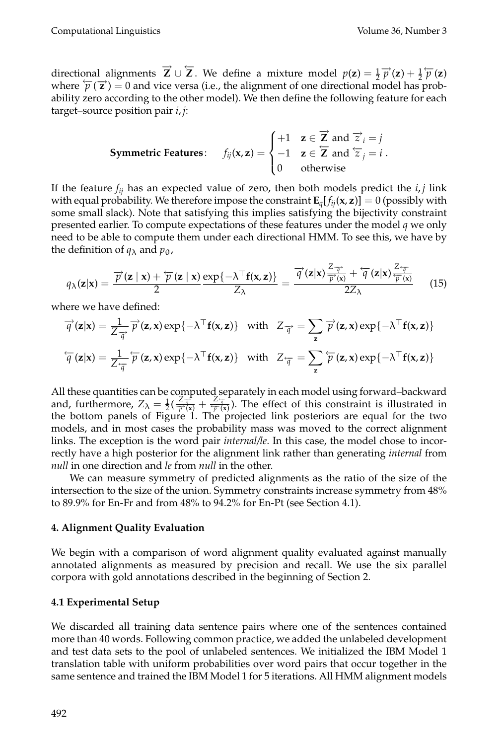directional alignments  $\vec{Z} \cup \vec{Z}$ . We define a mixture model  $p(z) = \frac{1}{2} \vec{p}(z) + \frac{1}{2} \vec{p}(z)$ where  $\overleftarrow{p}(\overrightarrow{z}) = 0$  and vice versa (i.e., the alignment of one directional model has probability zero according to the other model). We then define the following feature for each target–source position pair *i*, *j*:

**Symmetric Features:** 
$$
f_{ij}(\mathbf{x}, \mathbf{z}) = \begin{cases} +1 & \mathbf{z} \in \overrightarrow{\mathbf{Z}} \text{ and } \overrightarrow{z}_i = j \\ -1 & \mathbf{z} \in \overleftarrow{\mathbf{Z}} \text{ and } \overleftarrow{z}_j = i \\ 0 & \text{otherwise} \end{cases}
$$
.

If the feature  $f_{ij}$  has an expected value of zero, then both models predict the  $i, j$  link with equal probability. We therefore impose the constraint  $\mathbf{E}_q[f_{ii}(\mathbf{x}, \mathbf{z})] = 0$  (possibly with some small slack). Note that satisfying this implies satisfying the bijectivity constraint presented earlier. To compute expectations of these features under the model *q* we only need to be able to compute them under each directional HMM. To see this, we have by the definition of  $q_{\lambda}$  and  $p_{\theta}$ ,

$$
q_{\lambda}(\mathbf{z}|\mathbf{x}) = \frac{\overrightarrow{p}(\mathbf{z} \mid \mathbf{x}) + \overleftarrow{p}(\mathbf{z} \mid \mathbf{x})}{2} \frac{\exp\{-\lambda^{\top} \mathbf{f}(\mathbf{x}, \mathbf{z})\}}{Z_{\lambda}} = \frac{\overrightarrow{q}(\mathbf{z}|\mathbf{x}) \frac{Z_{\overrightarrow{q}}}{\overrightarrow{p}(\mathbf{x})} + \overleftarrow{q}(\mathbf{z}|\mathbf{x}) \frac{Z_{\overrightarrow{q}}}{\overleftarrow{p}(\mathbf{x})}}{(15)}
$$

where we have defined:

$$
\overrightarrow{q}(\mathbf{z}|\mathbf{x}) = \frac{1}{Z_{\overrightarrow{q}}} \overrightarrow{p}(\mathbf{z}, \mathbf{x}) \exp\{-\lambda^{\top} \mathbf{f}(\mathbf{x}, \mathbf{z})\} \text{ with } Z_{\overrightarrow{q}} = \sum_{\mathbf{z}} \overrightarrow{p}(\mathbf{z}, \mathbf{x}) \exp\{-\lambda^{\top} \mathbf{f}(\mathbf{x}, \mathbf{z})\}
$$

$$
\overleftarrow{q}(\mathbf{z}|\mathbf{x}) = \frac{1}{Z_{\overrightarrow{q}}} \overleftarrow{p}(\mathbf{z}, \mathbf{x}) \exp\{-\lambda^{\top} \mathbf{f}(\mathbf{x}, \mathbf{z})\} \text{ with } Z_{\overrightarrow{q}} = \sum_{\mathbf{z}} \overleftarrow{p}(\mathbf{z}, \mathbf{x}) \exp\{-\lambda^{\top} \mathbf{f}(\mathbf{x}, \mathbf{z})\}
$$

All these quantities can be computed separately in each model using forward–backward and, furthermore,  $Z_{\lambda} = \frac{1}{2}(\frac{Z_{\overline{q}}^2}{\overline{p}^2(x)} + \frac{Z_{\overline{q}}^2}{\overline{p}^2(x)})$ . The effect of this constraint is illustrated in the bottom panels of Figure 1. The projected link posteriors are equal for the two models, and in most cases the probability mass was moved to the correct alignment links. The exception is the word pair *internal/le*. In this case, the model chose to incorrectly have a high posterior for the alignment link rather than generating *internal* from *null* in one direction and *le* from *null* in the other.

We can measure symmetry of predicted alignments as the ratio of the size of the intersection to the size of the union. Symmetry constraints increase symmetry from 48% to 89.9% for En-Fr and from 48% to 94.2% for En-Pt (see Section 4.1).

# **4. Alignment Quality Evaluation**

We begin with a comparison of word alignment quality evaluated against manually annotated alignments as measured by precision and recall. We use the six parallel corpora with gold annotations described in the beginning of Section 2.

# **4.1 Experimental Setup**

We discarded all training data sentence pairs where one of the sentences contained more than 40 words. Following common practice, we added the unlabeled development and test data sets to the pool of unlabeled sentences. We initialized the IBM Model 1 translation table with uniform probabilities over word pairs that occur together in the same sentence and trained the IBM Model 1 for 5 iterations. All HMM alignment models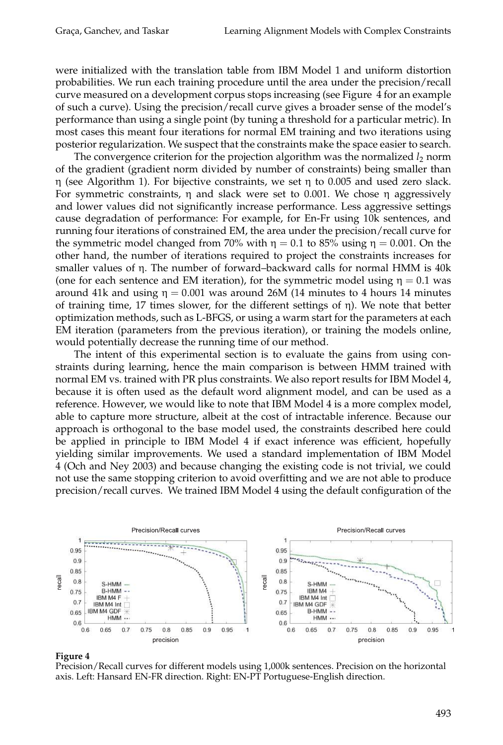were initialized with the translation table from IBM Model 1 and uniform distortion probabilities. We run each training procedure until the area under the precision/recall curve measured on a development corpus stops increasing (see Figure 4 for an example of such a curve). Using the precision/recall curve gives a broader sense of the model's performance than using a single point (by tuning a threshold for a particular metric). In most cases this meant four iterations for normal EM training and two iterations using posterior regularization. We suspect that the constraints make the space easier to search.

The convergence criterion for the projection algorithm was the normalized  $l_2$  norm of the gradient (gradient norm divided by number of constraints) being smaller than η (see Algorithm 1). For bijective constraints, we set η to 0.005 and used zero slack. For symmetric constraints,  $\eta$  and slack were set to 0.001. We chose  $\eta$  aggressively and lower values did not significantly increase performance. Less aggressive settings cause degradation of performance: For example, for En-Fr using 10k sentences, and running four iterations of constrained EM, the area under the precision/recall curve for the symmetric model changed from 70% with  $\eta = 0.1$  to 85% using  $\eta = 0.001$ . On the other hand, the number of iterations required to project the constraints increases for smaller values of η. The number of forward–backward calls for normal HMM is 40k (one for each sentence and EM iteration), for the symmetric model using  $\eta = 0.1$  was around 41k and using  $η = 0.001$  was around 26M (14 minutes to 4 hours 14 minutes of training time, 17 times slower, for the different settings of η). We note that better optimization methods, such as L-BFGS, or using a warm start for the parameters at each EM iteration (parameters from the previous iteration), or training the models online, would potentially decrease the running time of our method.

The intent of this experimental section is to evaluate the gains from using constraints during learning, hence the main comparison is between HMM trained with normal EM vs. trained with PR plus constraints. We also report results for IBM Model 4, because it is often used as the default word alignment model, and can be used as a reference. However, we would like to note that IBM Model 4 is a more complex model, able to capture more structure, albeit at the cost of intractable inference. Because our approach is orthogonal to the base model used, the constraints described here could be applied in principle to IBM Model 4 if exact inference was efficient, hopefully yielding similar improvements. We used a standard implementation of IBM Model 4 (Och and Ney 2003) and because changing the existing code is not trivial, we could not use the same stopping criterion to avoid overfitting and we are not able to produce precision/recall curves. We trained IBM Model 4 using the default configuration of the



#### **Figure 4**

Precision/Recall curves for different models using 1,000k sentences. Precision on the horizontal axis. Left: Hansard EN-FR direction. Right: EN-PT Portuguese-English direction.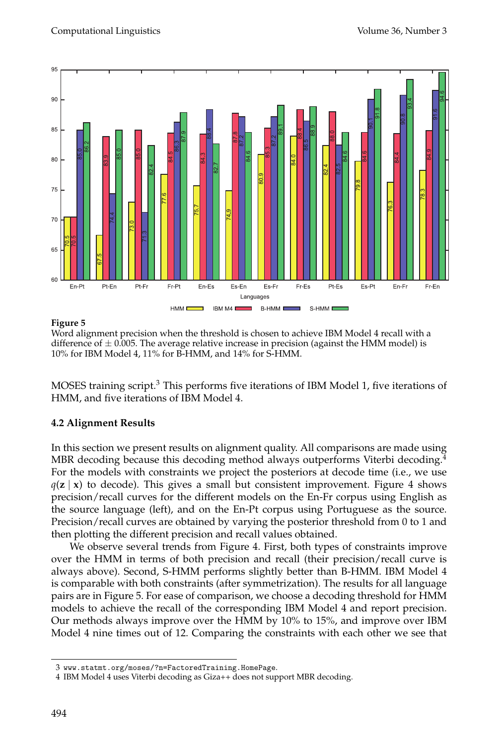

#### **Figure 5**

Word alignment precision when the threshold is chosen to achieve IBM Model 4 recall with a difference of  $\pm$  0.005. The average relative increase in precision (against the HMM model) is 10% for IBM Model 4, 11% for B-HMM, and 14% for S-HMM.

MOSES training script.<sup>3</sup> This performs five iterations of IBM Model 1, five iterations of HMM, and five iterations of IBM Model 4.

# **4.2 Alignment Results**

In this section we present results on alignment quality. All comparisons are made using MBR decoding because this decoding method always outperforms Viterbi decoding.<sup>4</sup> For the models with constraints we project the posteriors at decode time (i.e., we use  $q(\mathbf{z} \mid \mathbf{x})$  to decode). This gives a small but consistent improvement. Figure 4 shows precision/recall curves for the different models on the En-Fr corpus using English as the source language (left), and on the En-Pt corpus using Portuguese as the source. Precision/recall curves are obtained by varying the posterior threshold from 0 to 1 and then plotting the different precision and recall values obtained.

We observe several trends from Figure 4. First, both types of constraints improve over the HMM in terms of both precision and recall (their precision/recall curve is always above). Second, S-HMM performs slightly better than B-HMM. IBM Model 4 is comparable with both constraints (after symmetrization). The results for all language pairs are in Figure 5. For ease of comparison, we choose a decoding threshold for HMM models to achieve the recall of the corresponding IBM Model 4 and report precision. Our methods always improve over the HMM by 10% to 15%, and improve over IBM Model 4 nine times out of 12. Comparing the constraints with each other we see that

<sup>3</sup> www.statmt.org/moses/?n=FactoredTraining.HomePage.

<sup>4</sup> IBM Model 4 uses Viterbi decoding as Giza++ does not support MBR decoding.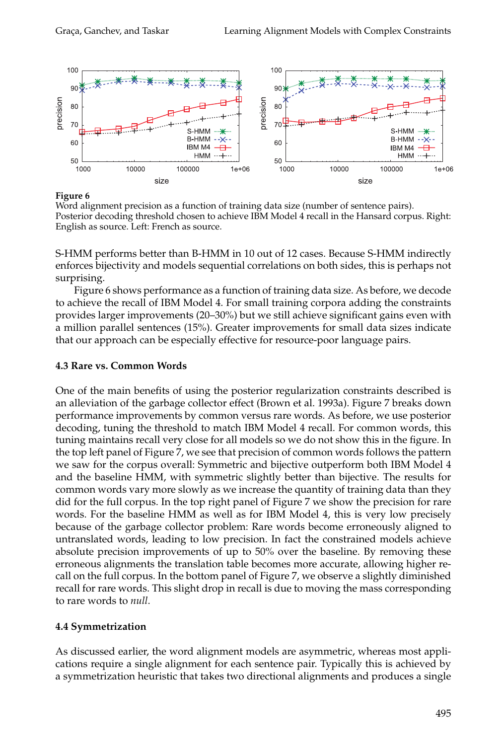

**Figure 6**

Word alignment precision as a function of training data size (number of sentence pairs). Posterior decoding threshold chosen to achieve IBM Model 4 recall in the Hansard corpus. Right: English as source. Left: French as source.

S-HMM performs better than B-HMM in 10 out of 12 cases. Because S-HMM indirectly enforces bijectivity and models sequential correlations on both sides, this is perhaps not surprising.

Figure 6 shows performance as a function of training data size. As before, we decode to achieve the recall of IBM Model 4. For small training corpora adding the constraints provides larger improvements (20–30%) but we still achieve significant gains even with a million parallel sentences (15%). Greater improvements for small data sizes indicate that our approach can be especially effective for resource-poor language pairs.

#### **4.3 Rare vs. Common Words**

One of the main benefits of using the posterior regularization constraints described is an alleviation of the garbage collector effect (Brown et al. 1993a). Figure 7 breaks down performance improvements by common versus rare words. As before, we use posterior decoding, tuning the threshold to match IBM Model 4 recall. For common words, this tuning maintains recall very close for all models so we do not show this in the figure. In the top left panel of Figure 7, we see that precision of common words follows the pattern we saw for the corpus overall: Symmetric and bijective outperform both IBM Model 4 and the baseline HMM, with symmetric slightly better than bijective. The results for common words vary more slowly as we increase the quantity of training data than they did for the full corpus. In the top right panel of Figure 7 we show the precision for rare words. For the baseline HMM as well as for IBM Model 4, this is very low precisely because of the garbage collector problem: Rare words become erroneously aligned to untranslated words, leading to low precision. In fact the constrained models achieve absolute precision improvements of up to 50% over the baseline. By removing these erroneous alignments the translation table becomes more accurate, allowing higher recall on the full corpus. In the bottom panel of Figure 7, we observe a slightly diminished recall for rare words. This slight drop in recall is due to moving the mass corresponding to rare words to *null*.

# **4.4 Symmetrization**

As discussed earlier, the word alignment models are asymmetric, whereas most applications require a single alignment for each sentence pair. Typically this is achieved by a symmetrization heuristic that takes two directional alignments and produces a single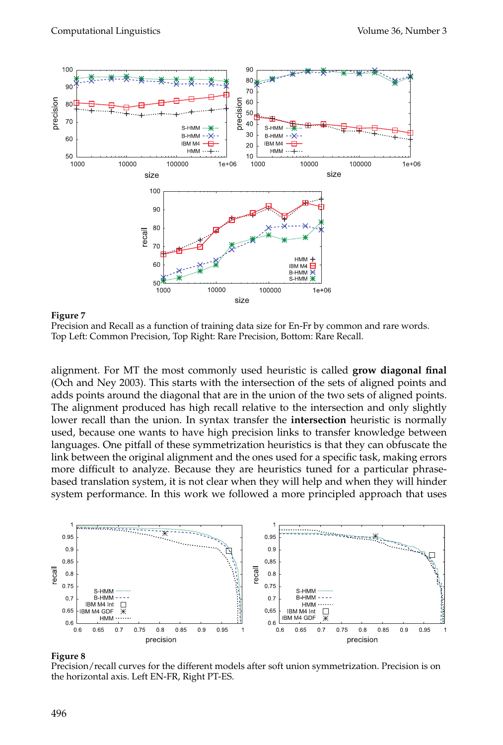

**Figure 7**

Precision and Recall as a function of training data size for En-Fr by common and rare words. Top Left: Common Precision, Top Right: Rare Precision, Bottom: Rare Recall.

alignment. For MT the most commonly used heuristic is called **grow diagonal final** (Och and Ney 2003). This starts with the intersection of the sets of aligned points and adds points around the diagonal that are in the union of the two sets of aligned points. The alignment produced has high recall relative to the intersection and only slightly lower recall than the union. In syntax transfer the **intersection** heuristic is normally used, because one wants to have high precision links to transfer knowledge between languages. One pitfall of these symmetrization heuristics is that they can obfuscate the link between the original alignment and the ones used for a specific task, making errors more difficult to analyze. Because they are heuristics tuned for a particular phrasebased translation system, it is not clear when they will help and when they will hinder system performance. In this work we followed a more principled approach that uses



#### **Figure 8**

Precision/recall curves for the different models after soft union symmetrization. Precision is on the horizontal axis. Left EN-FR, Right PT-ES.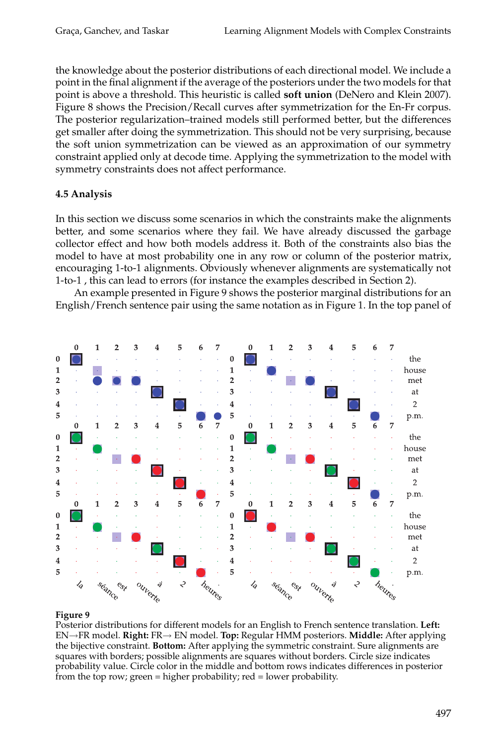the knowledge about the posterior distributions of each directional model. We include a point in the final alignment if the average of the posteriors under the two models for that point is above a threshold. This heuristic is called **soft union** (DeNero and Klein 2007). Figure 8 shows the Precision/Recall curves after symmetrization for the En-Fr corpus. The posterior regularization–trained models still performed better, but the differences get smaller after doing the symmetrization. This should not be very surprising, because the soft union symmetrization can be viewed as an approximation of our symmetry constraint applied only at decode time. Applying the symmetrization to the model with symmetry constraints does not affect performance.

# **4.5 Analysis**

In this section we discuss some scenarios in which the constraints make the alignments better, and some scenarios where they fail. We have already discussed the garbage collector effect and how both models address it. Both of the constraints also bias the model to have at most probability one in any row or column of the posterior matrix, encouraging 1-to-1 alignments. Obviously whenever alignments are systematically not 1-to-1 , this can lead to errors (for instance the examples described in Section 2).

An example presented in Figure 9 shows the posterior marginal distributions for an English/French sentence pair using the same notation as in Figure 1. In the top panel of



#### **Figure 9**

Posterior distributions for different models for an English to French sentence translation. **Left:** EN→FR model. **Right:** FR→ EN model. **Top:** Regular HMM posteriors. **Middle:** After applying the bijective constraint. **Bottom:** After applying the symmetric constraint. Sure alignments are squares with borders; possible alignments are squares without borders. Circle size indicates probability value. Circle color in the middle and bottom rows indicates differences in posterior from the top row; green = higher probability; red = lower probability.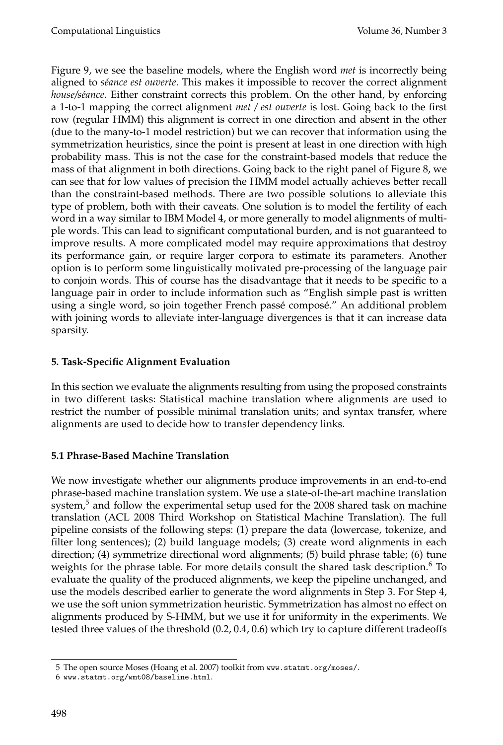Figure 9, we see the baseline models, where the English word *met* is incorrectly being aligned to *s´eance est ouverte*. This makes it impossible to recover the correct alignment *house/séance*. Either constraint corrects this problem. On the other hand, by enforcing a 1-to-1 mapping the correct alignment *met / est ouverte* is lost. Going back to the first row (regular HMM) this alignment is correct in one direction and absent in the other (due to the many-to-1 model restriction) but we can recover that information using the symmetrization heuristics, since the point is present at least in one direction with high probability mass. This is not the case for the constraint-based models that reduce the mass of that alignment in both directions. Going back to the right panel of Figure 8, we can see that for low values of precision the HMM model actually achieves better recall than the constraint-based methods. There are two possible solutions to alleviate this type of problem, both with their caveats. One solution is to model the fertility of each word in a way similar to IBM Model 4, or more generally to model alignments of multiple words. This can lead to significant computational burden, and is not guaranteed to improve results. A more complicated model may require approximations that destroy its performance gain, or require larger corpora to estimate its parameters. Another option is to perform some linguistically motivated pre-processing of the language pair to conjoin words. This of course has the disadvantage that it needs to be specific to a language pair in order to include information such as "English simple past is written using a single word, so join together French passé composé." An additional problem with joining words to alleviate inter-language divergences is that it can increase data sparsity.

# **5. Task-Specific Alignment Evaluation**

In this section we evaluate the alignments resulting from using the proposed constraints in two different tasks: Statistical machine translation where alignments are used to restrict the number of possible minimal translation units; and syntax transfer, where alignments are used to decide how to transfer dependency links.

# **5.1 Phrase-Based Machine Translation**

We now investigate whether our alignments produce improvements in an end-to-end phrase-based machine translation system. We use a state-of-the-art machine translation system, $5$  and follow the experimental setup used for the 2008 shared task on machine translation (ACL 2008 Third Workshop on Statistical Machine Translation). The full pipeline consists of the following steps: (1) prepare the data (lowercase, tokenize, and filter long sentences); (2) build language models; (3) create word alignments in each direction; (4) symmetrize directional word alignments; (5) build phrase table; (6) tune weights for the phrase table. For more details consult the shared task description.<sup>6</sup> To evaluate the quality of the produced alignments, we keep the pipeline unchanged, and use the models described earlier to generate the word alignments in Step 3. For Step 4, we use the soft union symmetrization heuristic. Symmetrization has almost no effect on alignments produced by S-HMM, but we use it for uniformity in the experiments. We tested three values of the threshold (0.2, 0.4, 0.6) which try to capture different tradeoffs

<sup>5</sup> The open source Moses (Hoang et al. 2007) toolkit from www.statmt.org/moses/.

<sup>6</sup> www.statmt.org/wmt08/baseline.html.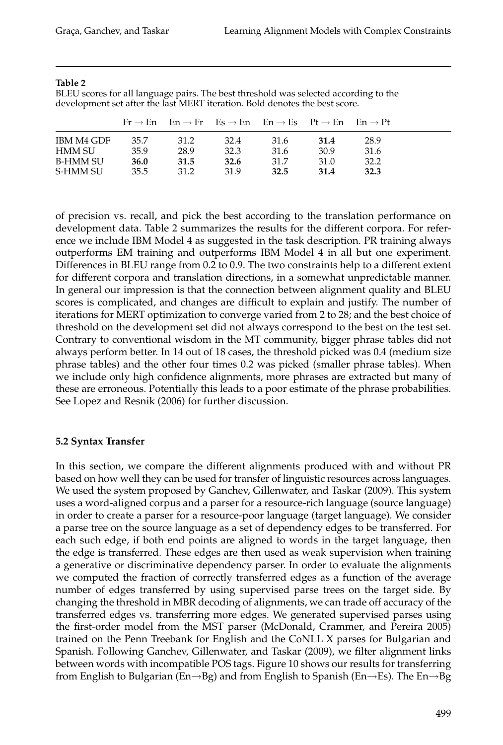|            |      |      |      | $Fr \rightarrow En$ $En \rightarrow Fr$ $Es \rightarrow En$ $En \rightarrow Es$ $Pt \rightarrow En$ $En \rightarrow Pt$ |      |      |
|------------|------|------|------|-------------------------------------------------------------------------------------------------------------------------|------|------|
| IBM M4 GDF | 35.7 | 31.2 | 32.4 | 31.6                                                                                                                    | 31.4 | 28.9 |
| HMM SU     | 35.9 | 28.9 | 32.3 | 31.6                                                                                                                    | 30.9 | 31.6 |
| B-HMM SU   | 36.0 | 31.5 | 32.6 | 31.7                                                                                                                    | 31.0 | 32.2 |
| S-HMM SU   | 35.5 | 31.2 | 31.9 | 32.5                                                                                                                    | 31.4 | 32.3 |

#### **Table 2**

BLEU scores for all language pairs. The best threshold was selected according to the development set after the last MERT iteration. Bold denotes the best score.

of precision vs. recall, and pick the best according to the translation performance on development data. Table 2 summarizes the results for the different corpora. For reference we include IBM Model 4 as suggested in the task description. PR training always outperforms EM training and outperforms IBM Model 4 in all but one experiment. Differences in BLEU range from 0.2 to 0.9. The two constraints help to a different extent for different corpora and translation directions, in a somewhat unpredictable manner. In general our impression is that the connection between alignment quality and BLEU scores is complicated, and changes are difficult to explain and justify. The number of iterations for MERT optimization to converge varied from 2 to 28; and the best choice of threshold on the development set did not always correspond to the best on the test set. Contrary to conventional wisdom in the MT community, bigger phrase tables did not always perform better. In 14 out of 18 cases, the threshold picked was 0.4 (medium size phrase tables) and the other four times 0.2 was picked (smaller phrase tables). When we include only high confidence alignments, more phrases are extracted but many of these are erroneous. Potentially this leads to a poor estimate of the phrase probabilities. See Lopez and Resnik (2006) for further discussion.

#### **5.2 Syntax Transfer**

In this section, we compare the different alignments produced with and without PR based on how well they can be used for transfer of linguistic resources across languages. We used the system proposed by Ganchev, Gillenwater, and Taskar (2009). This system uses a word-aligned corpus and a parser for a resource-rich language (source language) in order to create a parser for a resource-poor language (target language). We consider a parse tree on the source language as a set of dependency edges to be transferred. For each such edge, if both end points are aligned to words in the target language, then the edge is transferred. These edges are then used as weak supervision when training a generative or discriminative dependency parser. In order to evaluate the alignments we computed the fraction of correctly transferred edges as a function of the average number of edges transferred by using supervised parse trees on the target side. By changing the threshold in MBR decoding of alignments, we can trade off accuracy of the transferred edges vs. transferring more edges. We generated supervised parses using the first-order model from the MST parser (McDonald, Crammer, and Pereira 2005) trained on the Penn Treebank for English and the CoNLL X parses for Bulgarian and Spanish. Following Ganchev, Gillenwater, and Taskar (2009), we filter alignment links between words with incompatible POS tags. Figure 10 shows our results for transferring from English to Bulgarian (En→Bg) and from English to Spanish (En→Es). The En→Bg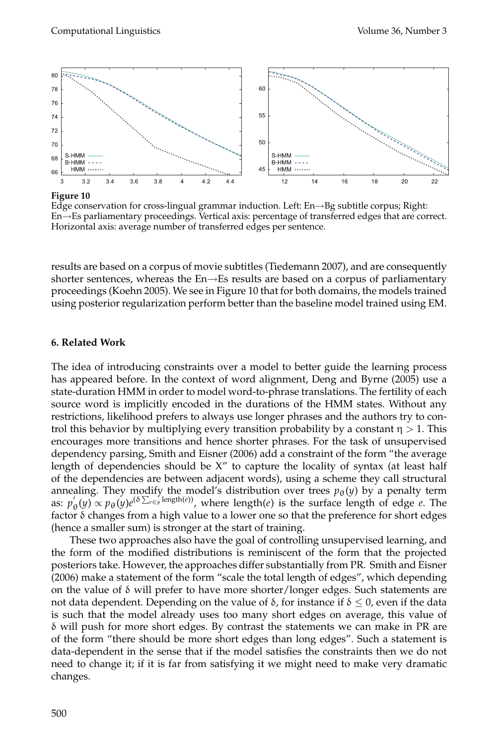

**Figure 10**

Edge conservation for cross-lingual grammar induction. Left: En→Bg subtitle corpus; Right: En→Es parliamentary proceedings. Vertical axis: percentage of transferred edges that are correct. Horizontal axis: average number of transferred edges per sentence.

results are based on a corpus of movie subtitles (Tiedemann 2007), and are consequently shorter sentences, whereas the  $En \rightarrow Es$  results are based on a corpus of parliamentary proceedings (Koehn 2005). We see in Figure 10 that for both domains, the models trained using posterior regularization perform better than the baseline model trained using EM.

#### **6. Related Work**

The idea of introducing constraints over a model to better guide the learning process has appeared before. In the context of word alignment, Deng and Byrne (2005) use a state-duration HMM in order to model word-to-phrase translations. The fertility of each source word is implicitly encoded in the durations of the HMM states. Without any restrictions, likelihood prefers to always use longer phrases and the authors try to control this behavior by multiplying every transition probability by a constant  $\eta > 1$ . This encourages more transitions and hence shorter phrases. For the task of unsupervised dependency parsing, Smith and Eisner (2006) add a constraint of the form "the average length of dependencies should be X" to capture the locality of syntax (at least half of the dependencies are between adjacent words), using a scheme they call structural annealing. They modify the model's distribution over trees  $p_{\theta}(y)$  by a penalty term as:  $p'_{\theta}(y) \propto p_{\theta}(y) e^{(\delta \sum_{e \in y} \text{length}(e))}$ , where length(*e*) is the surface length of edge *e*. The factor  $\delta$  changes from a high value to a lower one so that the preference for short edges (hence a smaller sum) is stronger at the start of training.

These two approaches also have the goal of controlling unsupervised learning, and the form of the modified distributions is reminiscent of the form that the projected posteriors take. However, the approaches differ substantially from PR. Smith and Eisner (2006) make a statement of the form "scale the total length of edges", which depending on the value of  $\delta$  will prefer to have more shorter/longer edges. Such statements are not data dependent. Depending on the value of δ, for instance if  $δ ≤ 0$ , even if the data is such that the model already uses too many short edges on average, this value of  $\delta$  will push for more short edges. By contrast the statements we can make in PR are of the form "there should be more short edges than long edges". Such a statement is data-dependent in the sense that if the model satisfies the constraints then we do not need to change it; if it is far from satisfying it we might need to make very dramatic changes.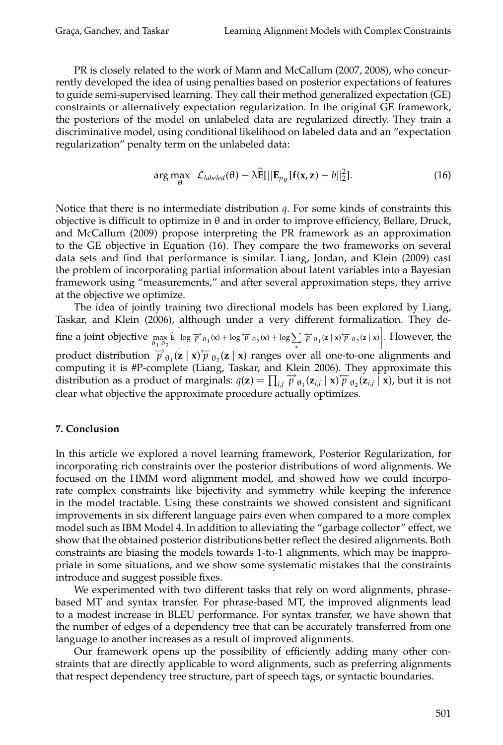PR is closely related to the work of Mann and McCallum (2007, 2008), who concurrently developed the idea of using penalties based on posterior expectations of features to guide semi-supervised learning. They call their method generalized expectation (GE) constraints or alternatively expectation regularization. In the original GE framework, the posteriors of the model on unlabeled data are regularized directly. They train a discriminative model, using conditional likelihood on labeled data and an "expectation regularization" penalty term on the unlabeled data:

$$
\arg \max_{\theta} \ \mathcal{L}_{labeled}(\theta) - \lambda \widehat{\mathbf{E}}[||\mathbf{E}_{p_{\theta}}[\mathbf{f}(\mathbf{x}, \mathbf{z}) - b||_2^2]. \tag{16}
$$

Notice that there is no intermediate distribution *q*. For some kinds of constraints this objective is difficult to optimize in θ and in order to improve efficiency, Bellare, Druck, and McCallum (2009) propose interpreting the PR framework as an approximation to the GE objective in Equation (16). They compare the two frameworks on several data sets and find that performance is similar. Liang, Jordan, and Klein (2009) cast the problem of incorporating partial information about latent variables into a Bayesian framework using "measurements," and after several approximation steps, they arrive at the objective we optimize.

The idea of jointly training two directional models has been explored by Liang, Taskar, and Klein (2006), although under a very different formalization. They define a joint objective max θ1,θ<sup>2</sup> **E**  $\left[\log \overrightarrow{p}_{\theta_1}(x) + \log \overleftarrow{p}_{\theta_2}(x) + \log \sum_{\mathbf{z}} \overrightarrow{p}_{\theta_1}(\mathbf{z} \mid \mathbf{x}) \overleftarrow{p}_{\theta_2}(\mathbf{z} \mid \mathbf{x})\right].$  However, the product distribution  $\overrightarrow{p}_{\theta_1}^2(z|x) \overleftarrow{p}_{\theta_2}(z|x)$  ranges over all one-to-one alignments and computing it is #P-complete (Liang, Taskar, and Klein 2006). They approximate this distribution as a product of marginals:  $q(\mathbf{z}) = \prod_{i,j} \vec{p}_{\theta_1}(\mathbf{z}_{i,j} \mid \mathbf{x}) \vec{p}_{\theta_2}(\mathbf{z}_{i,j} \mid \mathbf{x})$ , but it is not clear what objective the approximate procedure actually optimizes.

# **7. Conclusion**

In this article we explored a novel learning framework, Posterior Regularization, for incorporating rich constraints over the posterior distributions of word alignments. We focused on the HMM word alignment model, and showed how we could incorporate complex constraints like bijectivity and symmetry while keeping the inference in the model tractable. Using these constraints we showed consistent and significant improvements in six different language pairs even when compared to a more complex model such as IBM Model 4. In addition to alleviating the "garbage collector" effect, we show that the obtained posterior distributions better reflect the desired alignments. Both constraints are biasing the models towards 1-to-1 alignments, which may be inappropriate in some situations, and we show some systematic mistakes that the constraints introduce and suggest possible fixes.

We experimented with two different tasks that rely on word alignments, phrasebased MT and syntax transfer. For phrase-based MT, the improved alignments lead to a modest increase in BLEU performance. For syntax transfer, we have shown that the number of edges of a dependency tree that can be accurately transferred from one language to another increases as a result of improved alignments.

Our framework opens up the possibility of efficiently adding many other constraints that are directly applicable to word alignments, such as preferring alignments that respect dependency tree structure, part of speech tags, or syntactic boundaries.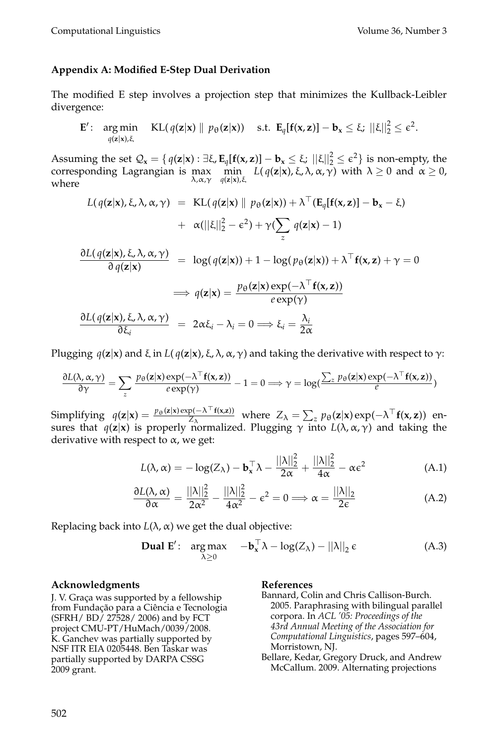#### **Appendix A: Modified E-Step Dual Derivation**

The modified E step involves a projection step that minimizes the Kullback-Leibler divergence:

$$
\mathbf{E}'\colon \argmin_{q(\mathbf{z}|\mathbf{x}),\xi} \operatorname{KL}(q(\mathbf{z}|\mathbf{x}) \parallel p_{\theta}(\mathbf{z}|\mathbf{x})) \quad \text{s.t. } \mathbf{E}_q[\mathbf{f}(\mathbf{x},\mathbf{z})] - \mathbf{b}_\mathbf{x} \leq \xi; \ ||\xi||_2^2 \leq \epsilon^2.
$$

Assuming the set  $\mathcal{Q}_{\mathbf{x}} = \{ q(\mathbf{z}|\mathbf{x}) : \exists \xi, \mathbf{E}_{q}[\mathbf{f}(\mathbf{x}, \mathbf{z})] - \mathbf{b}_{\mathbf{x}} \leq \xi; ||\xi||_2^2 \leq \epsilon^2 \}$  is non-empty, the corresponding Lagrangian is max min<br>whore  $\lambda, \alpha, \gamma$   $q(\mathbf{z}|\mathbf{x})$ , *q*(**z**|**x**),ξ  $L(q(\mathbf{z}|\mathbf{x}), \boldsymbol{\xi}, \boldsymbol{\lambda}, \boldsymbol{\alpha}, \boldsymbol{\gamma})$  with  $\lambda \geq 0$  and  $\alpha \geq 0$ , where

$$
L(q(\mathbf{z}|\mathbf{x}), \xi, \lambda, \alpha, \gamma) = \text{KL}(q(\mathbf{z}|\mathbf{x}) \parallel p_{\theta}(\mathbf{z}|\mathbf{x})) + \lambda^{\top} (\mathbf{E}_{q}[\mathbf{f}(\mathbf{x}, \mathbf{z})] - \mathbf{b}_{\mathbf{x}} - \xi)
$$
  
+  $\alpha(||\xi||_2^2 - \epsilon^2) + \gamma (\sum_{z} q(\mathbf{z}|\mathbf{x}) - 1)$   

$$
\frac{\partial L(q(\mathbf{z}|\mathbf{x}), \xi, \lambda, \alpha, \gamma)}{\partial q(\mathbf{z}|\mathbf{x})} = \log(q(\mathbf{z}|\mathbf{x})) + 1 - \log(p_{\theta}(\mathbf{z}|\mathbf{x})) + \lambda^{\top} \mathbf{f}(\mathbf{x}, \mathbf{z}) + \gamma = 0
$$
  
 $\implies q(\mathbf{z}|\mathbf{x}) = \frac{p_{\theta}(\mathbf{z}|\mathbf{x}) \exp(-\lambda^{\top} \mathbf{f}(\mathbf{x}, \mathbf{z}))}{\sigma \exp(\lambda)}$ 

$$
\frac{\partial L(q(\mathbf{z}|\mathbf{x}), \xi, \lambda, \alpha, \gamma)}{\partial \xi_i} = 2\alpha \xi_i - \lambda_i = 0 \Longrightarrow \xi_i = \frac{\lambda_i}{2\alpha}
$$

Plugging  $q(z|x)$  and ξ in  $L(q(z|x), \xi, \lambda, \alpha, \gamma)$  and taking the derivative with respect to  $γ$ :

$$
\frac{\partial L(\lambda, \alpha, \gamma)}{\partial \gamma} = \sum_{z} \frac{p_{\theta}(\mathbf{z}|\mathbf{x}) \exp(-\lambda^{\top} \mathbf{f}(\mathbf{x}, \mathbf{z}))}{e \exp(\gamma)} - 1 = 0 \Longrightarrow \gamma = \log(\frac{\sum_{z} p_{\theta}(\mathbf{z}|\mathbf{x}) \exp(-\lambda^{\top} \mathbf{f}(\mathbf{x}, \mathbf{z}))}{e})
$$

Simplifying  $q(\mathbf{z}|\mathbf{x}) = \frac{p_{\theta}(\mathbf{z}|\mathbf{x}) \exp(-\lambda^\top \mathbf{f}(\mathbf{x}, \mathbf{z}))}{Z_{\lambda}}$  where  $Z_{\lambda} = \sum_{z} p_{\theta}(\mathbf{z}|\mathbf{x}) \exp(-\lambda^\top \mathbf{f}(\mathbf{x}, \mathbf{z}))$  ensures that *q*(**z**|**x**) is properly normalized. Plugging γ into *L*(λ,α, γ) and taking the derivative with respect to  $\alpha$ , we get:

$$
L(\lambda, \alpha) = -\log(Z_{\lambda}) - \mathbf{b}_{\mathbf{x}}^{\top} \lambda - \frac{||\lambda||_2^2}{2\alpha} + \frac{||\lambda||_2^2}{4\alpha} - \alpha \varepsilon^2
$$
 (A.1)

$$
\frac{\partial L(\lambda, \alpha)}{\partial \alpha} = \frac{||\lambda||_2^2}{2\alpha^2} - \frac{||\lambda||_2^2}{4\alpha^2} - \epsilon^2 = 0 \Longrightarrow \alpha = \frac{||\lambda||_2}{2\epsilon}
$$
(A.2)

Replacing back into  $L(\lambda, \alpha)$  we get the dual objective:

**Dual E'**: arg max 
$$
-\mathbf{b}_{x}^{\top} \lambda - \log(Z_{\lambda}) - ||\lambda||_{2} \epsilon
$$
 (A.3)

#### **Acknowledgments**

J. V. Graça was supported by a fellowship from Fundação para a Ciência e Tecnologia (SFRH/ BD/ 27528/ 2006) and by FCT project CMU-PT/HuMach/0039/2008. K. Ganchev was partially supported by NSF ITR EIA 0205448. Ben Taskar was partially supported by DARPA CSSG 2009 grant.

#### **References**

- Bannard, Colin and Chris Callison-Burch. 2005. Paraphrasing with bilingual parallel corpora. In *ACL '05: Proceedings of the 43rd Annual Meeting of the Association for Computational Linguistics*, pages 597–604, Morristown, NJ.
- Bellare, Kedar, Gregory Druck, and Andrew McCallum. 2009. Alternating projections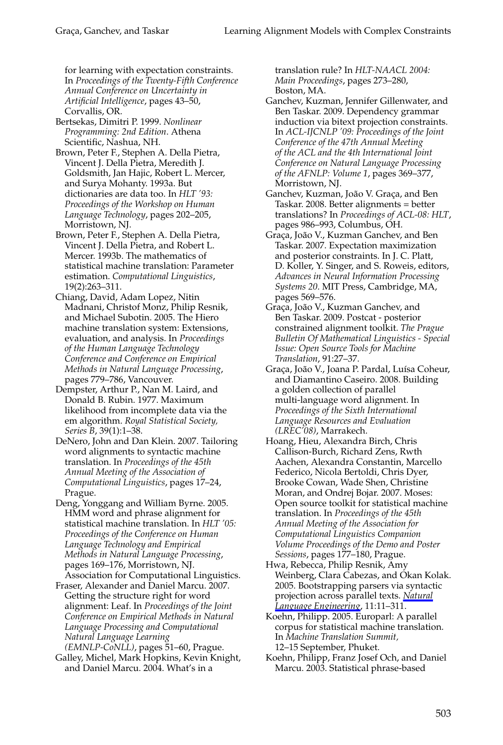for learning with expectation constraints. In *Proceedings of the Twenty-Fifth Conference Annual Conference on Uncertainty in Artificial Intelligence*, pages 43–50, Corvallis, OR.

Bertsekas, Dimitri P. 1999. *Nonlinear Programming: 2nd Edition*. Athena Scientific, Nashua, NH.

Brown, Peter F., Stephen A. Della Pietra, Vincent J. Della Pietra, Meredith J. Goldsmith, Jan Hajic, Robert L. Mercer, and Surya Mohanty. 1993a. But dictionaries are data too. In *HLT '93: Proceedings of the Workshop on Human Language Technology*, pages 202–205, Morristown, NJ.

Brown, Peter F., Stephen A. Della Pietra, Vincent J. Della Pietra, and Robert L. Mercer. 1993b. The mathematics of statistical machine translation: Parameter estimation. *Computational Linguistics*, 19(2):263–311.

Chiang, David, Adam Lopez, Nitin Madnani, Christof Monz, Philip Resnik, and Michael Subotin. 2005. The Hiero machine translation system: Extensions, evaluation, and analysis. In *Proceedings of the Human Language Technology Conference and Conference on Empirical Methods in Natural Language Processing*, pages 779–786, Vancouver.

Dempster, Arthur P., Nan M. Laird, and Donald B. Rubin. 1977. Maximum likelihood from incomplete data via the em algorithm. *Royal Statistical Society, Series B*, 39(1):1–38.

DeNero, John and Dan Klein. 2007. Tailoring word alignments to syntactic machine translation. In *Proceedings of the 45th Annual Meeting of the Association of Computational Linguistics*, pages 17–24, Prague.

Deng, Yonggang and William Byrne. 2005. HMM word and phrase alignment for statistical machine translation. In *HLT '05: Proceedings of the Conference on Human Language Technology and Empirical Methods in Natural Language Processing*, pages 169–176, Morristown, NJ. Association for Computational Linguistics.

Fraser, Alexander and Daniel Marcu. 2007. Getting the structure right for word alignment: Leaf. In *Proceedings of the Joint Conference on Empirical Methods in Natural Language Processing and Computational Natural Language Learning*

*(EMNLP-CoNLL)*, pages 51–60, Prague. Galley, Michel, Mark Hopkins, Kevin Knight,

and Daniel Marcu. 2004. What's in a

translation rule? In *HLT-NAACL 2004: Main Proceedings*, pages 273–280, Boston, MA.

- Ganchev, Kuzman, Jennifer Gillenwater, and Ben Taskar. 2009. Dependency grammar induction via bitext projection constraints. In *ACL-IJCNLP '09: Proceedings of the Joint Conference of the 47th Annual Meeting of the ACL and the 4th International Joint Conference on Natural Language Processing of the AFNLP: Volume 1*, pages 369–377, Morristown, NJ.
- Ganchev, Kuzman, João V. Graça, and Ben Taskar. 2008. Better alignments = better translations? In *Proceedings of ACL-08: HLT*, pages 986–993, Columbus, OH.
- Graça, João V., Kuzman Ganchev, and Ben Taskar. 2007. Expectation maximization and posterior constraints. In J. C. Platt, D. Koller, Y. Singer, and S. Roweis, editors, *Advances in Neural Information Processing Systems 20*. MIT Press, Cambridge, MA, pages 569–576.
- Graça, João V., Kuzman Ganchev, and Ben Taskar. 2009. Postcat - posterior constrained alignment toolkit. *The Prague Bulletin Of Mathematical Linguistics - Special Issue: Open Source Tools for Machine Translation*, 91:27–37.
- Graça, João V., Joana P. Pardal, Luísa Coheur, and Diamantino Caseiro. 2008. Building a golden collection of parallel multi-language word alignment. In *Proceedings of the Sixth International Language Resources and Evaluation (LREC'08)*, Marrakech.
- Hoang, Hieu, Alexandra Birch, Chris Callison-Burch, Richard Zens, Rwth Aachen, Alexandra Constantin, Marcello Federico, Nicola Bertoldi, Chris Dyer, Brooke Cowan, Wade Shen, Christine Moran, and Ondrej Bojar. 2007. Moses: Open source toolkit for statistical machine translation. In *Proceedings of the 45th Annual Meeting of the Association for Computational Linguistics Companion Volume Proceedings of the Demo and Poster Sessions*, pages 177–180, Prague.

Hwa, Rebecca, Philip Resnik, Amy Weinberg, Clara Cabezas, and Okan Kolak. 2005. Bootstrapping parsers via syntactic projection across parallel texts. *Natural Language Engineering*, 11:11–311.

Koehn, Philipp. 2005. Europarl: A parallel corpus for statistical machine translation. In *Machine Translation Summit,* 12–15 September, Phuket.

Koehn, Philipp, Franz Josef Och, and Daniel Marcu. 2003. Statistical phrase-based